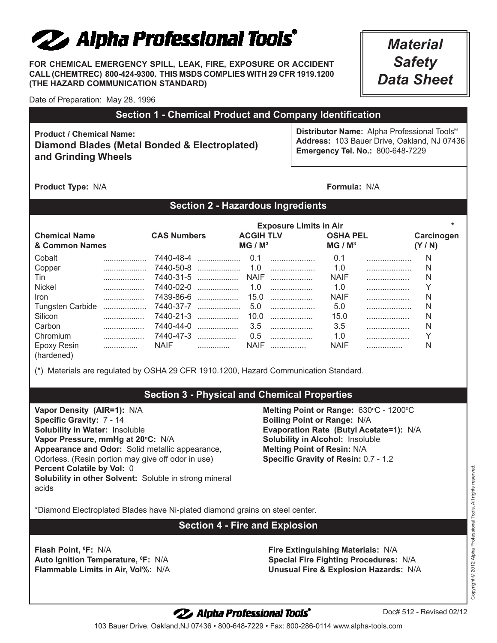# 22 Alpha Professional Tools°

**FOR CHEMICAL EMERGENCY SPILL, LEAK, FIRE, EXPOSURE OR ACCIDENT CALL (CHEMTREC) 800-424-9300. THIS MSDS COMPLIES WITH 29 CFR 1919.1200 (THE HAZARD COMMUNICATION STANDARD)**

*Material Safety Data Sheet*

Date of Preparation: May 28, 1996

# **Section 1 - Chemical Product and Company Identification**

**Product / Chemical Name: Diamond Blades (Metal Bonded & Electroplated) and Grinding Wheels**

**Distributor Name:** Alpha Professional Tools® **Address:** 103 Bauer Drive, Oakland, NJ 07436 **Emergency Tel. No.:** 800-648-7229

**Product Type:** N/A **Formula:** N/A

# **Section 2 - Hazardous Ingredients**

|                                        |   | <b>Exposure Limits in Air</b> |           |                                         |        |                                        |   |                       |
|----------------------------------------|---|-------------------------------|-----------|-----------------------------------------|--------|----------------------------------------|---|-----------------------|
| <b>Chemical Name</b><br>& Common Names |   | <b>CAS Numbers</b>            |           | <b>ACGIH TLV</b><br>MG / M <sup>3</sup> |        | <b>OSHA PEL</b><br>MG / M <sup>3</sup> |   | Carcinogen<br>(Y / N) |
| Cobalt                                 |   |                               | 7440-48-4 |                                         | 0.1    | 0.1                                    |   | N                     |
| Copper                                 |   |                               |           |                                         |        | 1.0                                    |   | N                     |
| Tin                                    |   | 7440-31-5                     |           |                                         |        | <b>NAIF</b>                            |   | N                     |
| Nickel                                 | . | 7440-02-0                     |           |                                         | $1.0$  | 1.0                                    |   |                       |
| <b>Iron</b>                            |   |                               | 7439-86-6 |                                         | $15.0$ | <b>NAIF</b>                            |   | N                     |
| <b>Tungsten Carbide</b>                |   |                               | 7440-37-7 |                                         |        | 5.0                                    |   | N                     |
| Silicon                                | . |                               | 7440-21-3 |                                         | $10.0$ | 15.0                                   |   | N                     |
| Carbon                                 | . | 7440-44-0                     | .         |                                         | $3.5$  | 3.5                                    |   | N                     |
| Chromium                               |   |                               | 7440-47-3 | 0.5                                     | .      | 1.0                                    | . |                       |
| Epoxy Resin<br>(hardened)              |   | NAIF                          |           | <b>NAIF</b>                             |        | <b>NAIF</b>                            | . |                       |

(\*) Materials are regulated by OSHA 29 CFR 1910.1200, Hazard Communication Standard.

# **Section 3 - Physical and Chemical Properties**

**Vapor Density (AIR=1):** N/A **Specific Gravity:** 7 - 14 **Solubility in Water:** Insoluble Vapor Pressure, mmHq at 20°C: N/A **Appearance and Odor:** Solid metallic appearance, Odorless. (Resin portion may give off odor in use) **Percent Colatile by Vol:** 0 **Solubility in other Solvent:** Soluble in strong mineral acids

**Melting Point or Range: 630°C - 1200°C Boiling Point or Range:** N/A **Evaporation Rate (Butyl Acetate=1):** N/A **Solubility in Alcohol:** Insoluble **Melting Point of Resin:** N/A **Specific Gravity of Resin:** 0.7 - 1.2

\*Diamond Electroplated Blades have Ni-plated diamond grains on steel center.

## **Section 4 - Fire and Explosion**

**Flash Point, °F: N/A Auto Ignition Temperature, <sup>O</sup>F: N/A** 

**F:** N/A **Fire Extinguishing Materials:** N/A **F:** N/A **Special Fire Fighting Procedures:** N/A **Flammable Limits in Air, Vol%:** N/A **Unusual Fire & Explosion Hazards:** N/A

Copyright © 2012 Alpha Professional Tools. All rights reserved. Copyright © 2012 Alpha Professional Tools. All rights reserved

# 22 Alpha Professional Tools°

Doc# 512 - Revised 02/12

103 Bauer Drive, Oakland,NJ 07436 • 800-648-7229 • Fax: 800-286-0114 www.alpha-tools.com